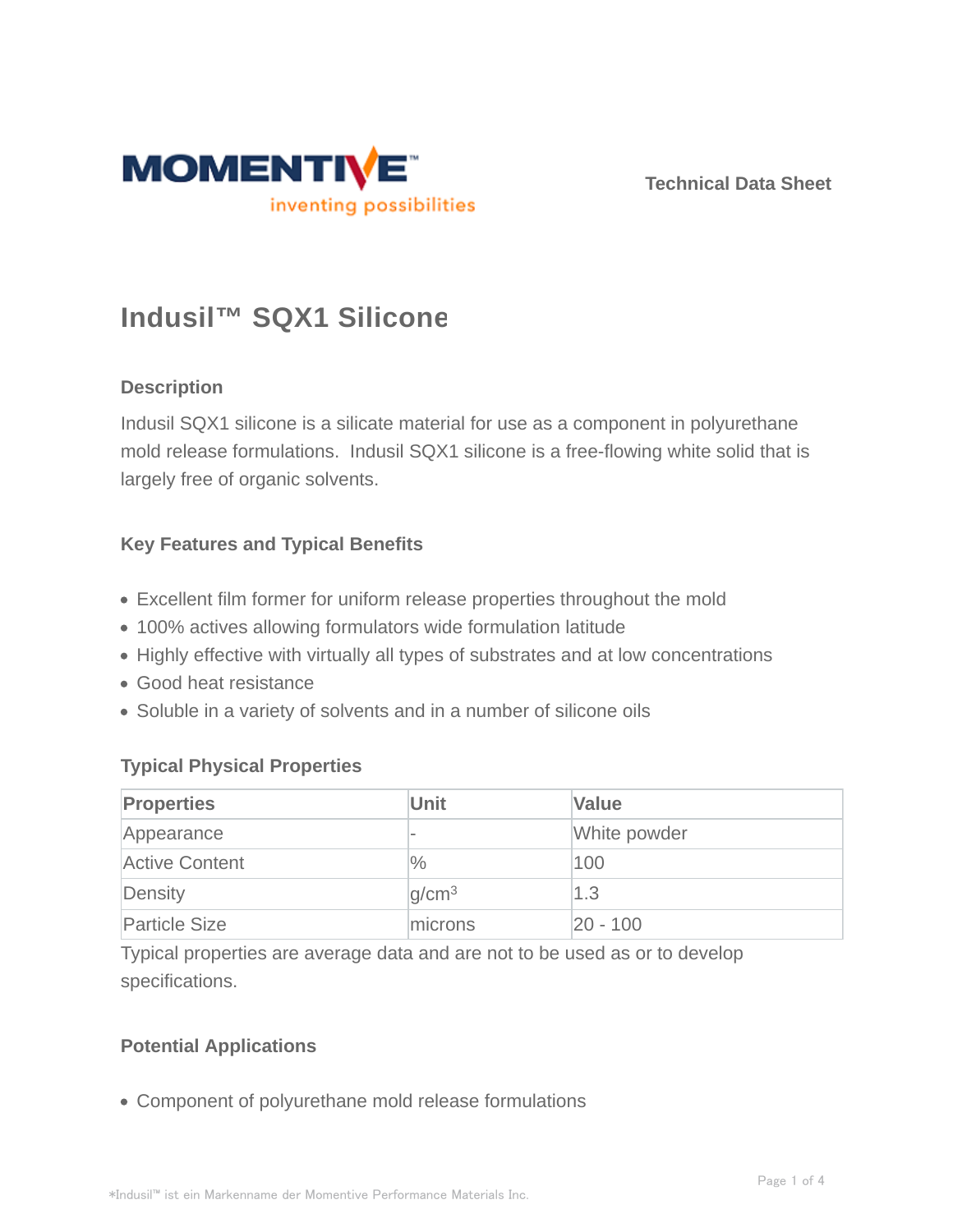

**Technical Data Sheet**

# **Indusil™ SQX1 Silicone**

## **Description**

Indusil SQX1 silicone is a silicate material for use as a component in polyurethane mold release formulations. Indusil SQX1 silicone is a free-flowing white solid that is largely free of organic solvents.

## **Key Features and Typical Benefits**

- Excellent film former for uniform release properties throughout the mold
- 100% actives allowing formulators wide formulation latitude
- Highly effective with virtually all types of substrates and at low concentrations
- Good heat resistance
- Soluble in a variety of solvents and in a number of silicone oils

## **Typical Physical Properties**

| <b>Properties</b>     | Unit                     | <b>Value</b> |
|-----------------------|--------------------------|--------------|
| Appearance            | $\overline{\phantom{a}}$ | White powder |
| <b>Active Content</b> | $\frac{0}{0}$            | 100          |
| Density               | q/cm <sup>3</sup>        | 1.3          |
| <b>Particle Size</b>  | microns                  | 20 - 100     |

Typical properties are average data and are not to be used as or to develop specifications.

## **Potential Applications**

Component of polyurethane mold release formulations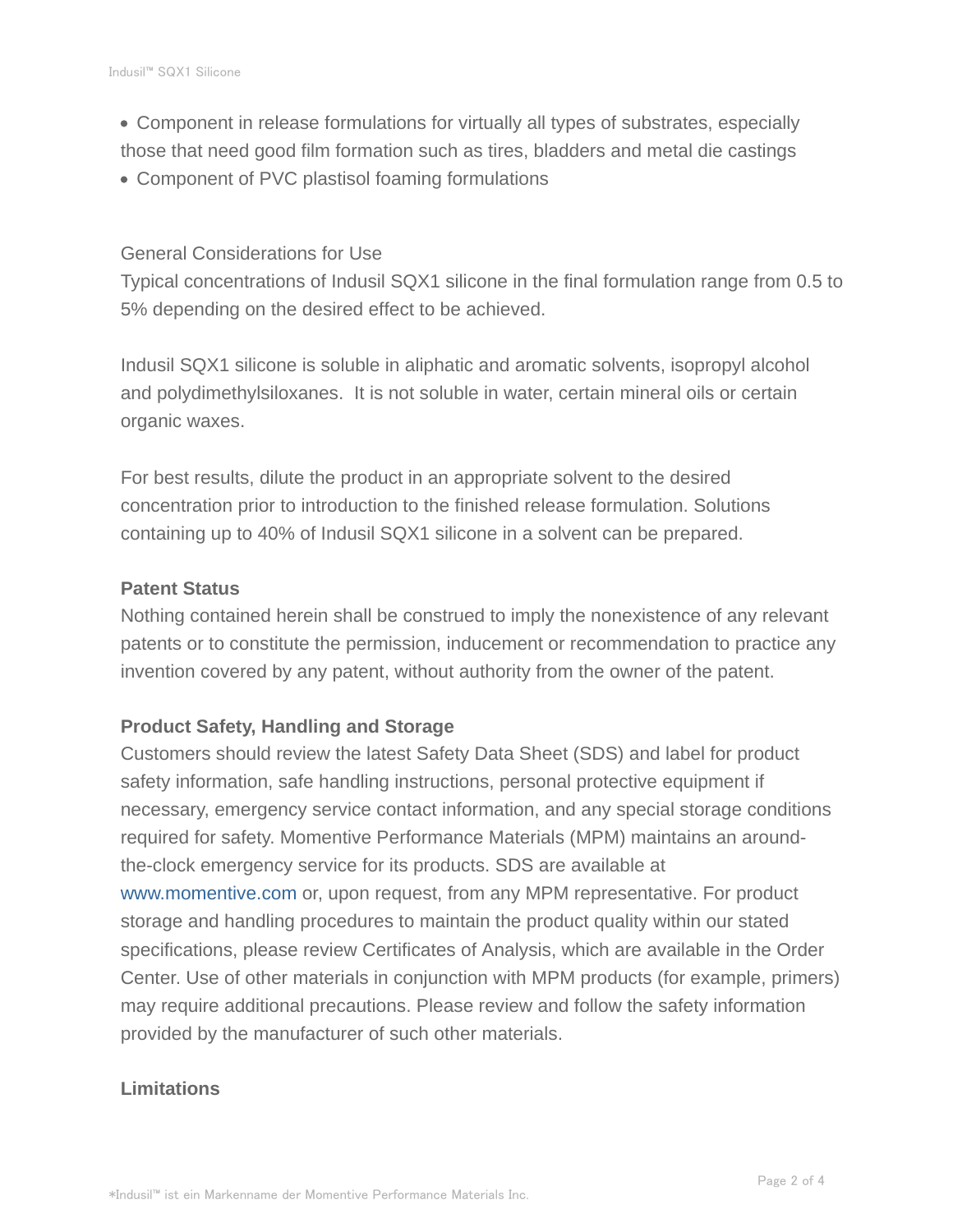- Component in release formulations for virtually all types of substrates, especially those that need good film formation such as tires, bladders and metal die castings
- Component of PVC plastisol foaming formulations

#### General Considerations for Use

Typical concentrations of Indusil SQX1 silicone in the final formulation range from 0.5 to 5% depending on the desired effect to be achieved.

Indusil SQX1 silicone is soluble in aliphatic and aromatic solvents, isopropyl alcohol and polydimethylsiloxanes. It is not soluble in water, certain mineral oils or certain organic waxes.

For best results, dilute the product in an appropriate solvent to the desired concentration prior to introduction to the finished release formulation. Solutions containing up to 40% of Indusil SQX1 silicone in a solvent can be prepared.

#### **Patent Status**

Nothing contained herein shall be construed to imply the nonexistence of any relevant patents or to constitute the permission, inducement or recommendation to practice any invention covered by any patent, without authority from the owner of the patent.

#### **Product Safety, Handling and Storage**

Customers should review the latest Safety Data Sheet (SDS) and label for product safety information, safe handling instructions, personal protective equipment if necessary, emergency service contact information, and any special storage conditions required for safety. Momentive Performance Materials (MPM) maintains an aroundthe-clock emergency service for its products. SDS are available at www.momentive.com or, upon request, from any MPM representative. For product storage and handling procedures to maintain the product quality within our stated specifications, please review Certificates of Analysis, which are available in the Order Center. Use of other materials in conjunction with MPM products (for example, primers) may require additional precautions. Please review and follow the safety information provided by the manufacturer of such other materials.

## **Limitations**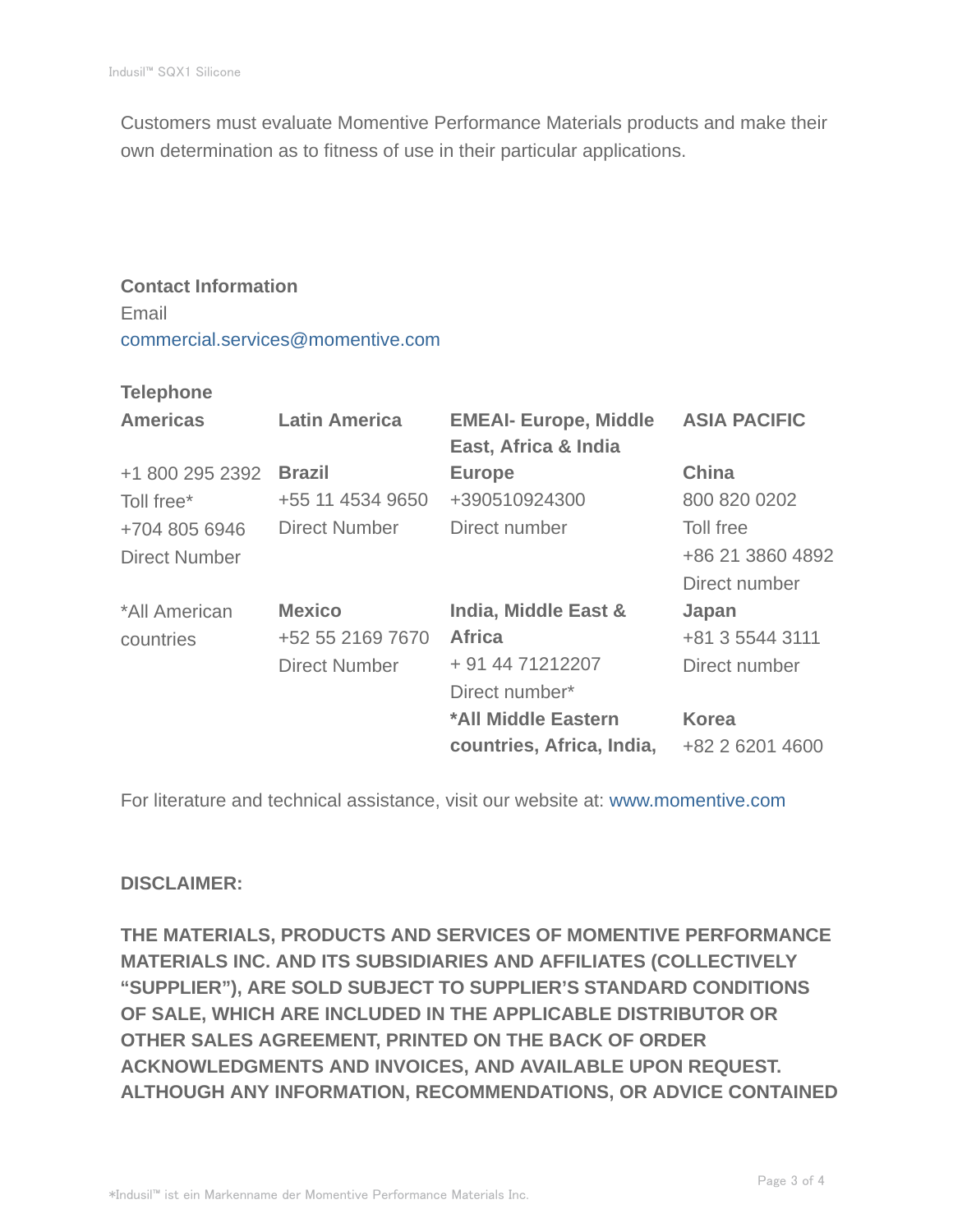Customers must evaluate Momentive Performance Materials products and make their own determination as to fitness of use in their particular applications.

## **Contact Information** Email commercial.services@momentive.com

#### **Telephone**

| <b>Americas</b>      | <b>Latin America</b> | <b>EMEAI- Europe, Middle</b><br>East, Africa & India | <b>ASIA PACIFIC</b> |
|----------------------|----------------------|------------------------------------------------------|---------------------|
| +1 800 295 2392      | <b>Brazil</b>        | <b>Europe</b>                                        | <b>China</b>        |
| Toll free*           | +55 11 4534 9650     | +390510924300                                        | 800 820 0202        |
| +704 805 6946        | <b>Direct Number</b> | Direct number                                        | Toll free           |
| <b>Direct Number</b> |                      |                                                      | +86 21 3860 4892    |
|                      |                      |                                                      | Direct number       |
| *All American        | <b>Mexico</b>        | India, Middle East &                                 | Japan               |
| countries            | +52 55 2169 7670     | <b>Africa</b>                                        | +81 3 5544 3111     |
|                      | <b>Direct Number</b> | + 91 44 71212207                                     | Direct number       |
|                      |                      | Direct number*                                       |                     |
|                      |                      | *All Middle Eastern                                  | <b>Korea</b>        |
|                      |                      | countries, Africa, India,                            | +82 2 6201 4600     |

For literature and technical assistance, visit our website at: www.momentive.com

## **DISCLAIMER:**

**THE MATERIALS, PRODUCTS AND SERVICES OF MOMENTIVE PERFORMANCE MATERIALS INC. AND ITS SUBSIDIARIES AND AFFILIATES (COLLECTIVELY "SUPPLIER"), ARE SOLD SUBJECT TO SUPPLIER'S STANDARD CONDITIONS OF SALE, WHICH ARE INCLUDED IN THE APPLICABLE DISTRIBUTOR OR OTHER SALES AGREEMENT, PRINTED ON THE BACK OF ORDER ACKNOWLEDGMENTS AND INVOICES, AND AVAILABLE UPON REQUEST. ALTHOUGH ANY INFORMATION, RECOMMENDATIONS, OR ADVICE CONTAINED**